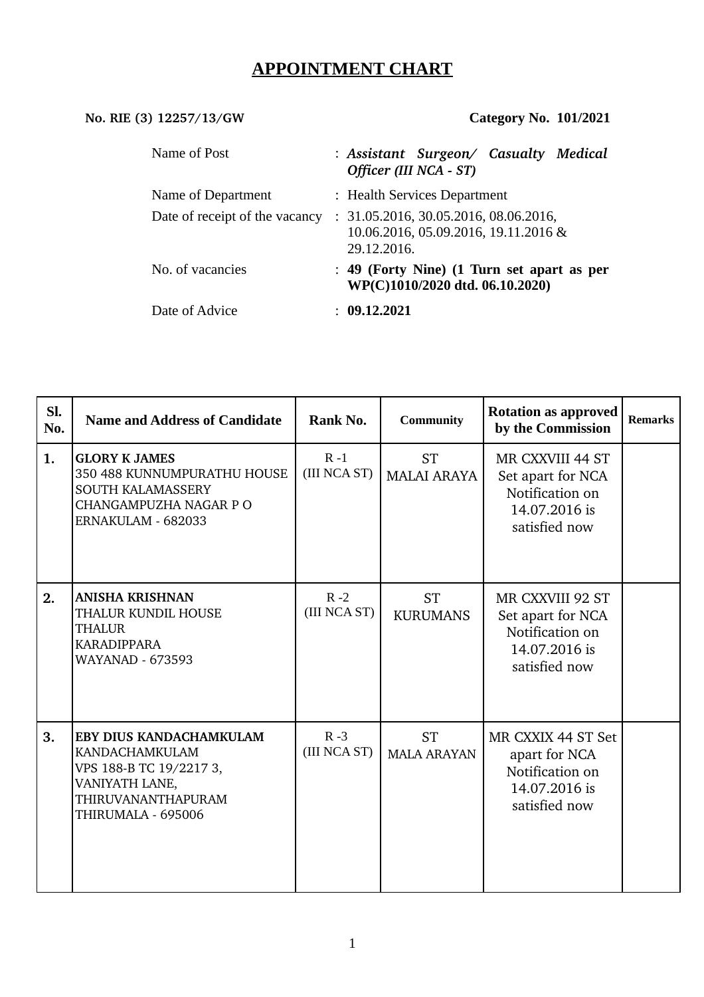# **APPOINTMENT CHART**

# **No. RIE (3) 12257/13/GW Category No. 101/2021**

| Name of Post                   | : Assistant Surgeon/ Casualty Medical<br>Officer (III NCA - ST)                              |  |
|--------------------------------|----------------------------------------------------------------------------------------------|--|
| Name of Department             | : Health Services Department                                                                 |  |
| Date of receipt of the vacancy | : 31.05.2016, 30.05.2016, 08.06.2016,<br>10.06.2016, 05.09.2016, 19.11.2016 &<br>29.12.2016. |  |
| No. of vacancies               | : 49 (Forty Nine) (1 Turn set apart as per<br>WP(C)1010/2020 dtd. 06.10.2020)                |  |
| Date of Advice                 | : 09.12.2021                                                                                 |  |

| SI.<br>No. | <b>Name and Address of Candidate</b>                                                                                                      | Rank No.                | <b>Community</b>                | <b>Rotation as approved</b><br>by the Commission                                           | <b>Remarks</b> |
|------------|-------------------------------------------------------------------------------------------------------------------------------------------|-------------------------|---------------------------------|--------------------------------------------------------------------------------------------|----------------|
| 1.         | <b>GLORY K JAMES</b><br>350 488 KUNNUMPURATHU HOUSE<br>SOUTH KALAMASSERY<br>CHANGAMPUZHA NAGAR P O<br>ERNAKULAM - 682033                  | $R - 1$<br>(III NCA ST) | <b>ST</b><br><b>MALAI ARAYA</b> | MR CXXVIII 44 ST<br>Set apart for NCA<br>Notification on<br>14.07.2016 is<br>satisfied now |                |
| 2.         | <b>ANISHA KRISHNAN</b><br>THALUR KUNDIL HOUSE<br><b>THALUR</b><br><b>KARADIPPARA</b><br><b>WAYANAD - 673593</b>                           | $R - 2$<br>(III NCA ST) | <b>ST</b><br><b>KURUMANS</b>    | MR CXXVIII 92 ST<br>Set apart for NCA<br>Notification on<br>14.07.2016 is<br>satisfied now |                |
| 3.         | EBY DIUS KANDACHAMKULAM<br><b>KANDACHAMKULAM</b><br>VPS 188-B TC 19/2217 3,<br>VANIYATH LANE,<br>THIRUVANANTHAPURAM<br>THIRUMALA - 695006 | $R - 3$<br>(III NCA ST) | <b>ST</b><br><b>MALA ARAYAN</b> | MR CXXIX 44 ST Set<br>apart for NCA<br>Notification on<br>14.07.2016 is<br>satisfied now   |                |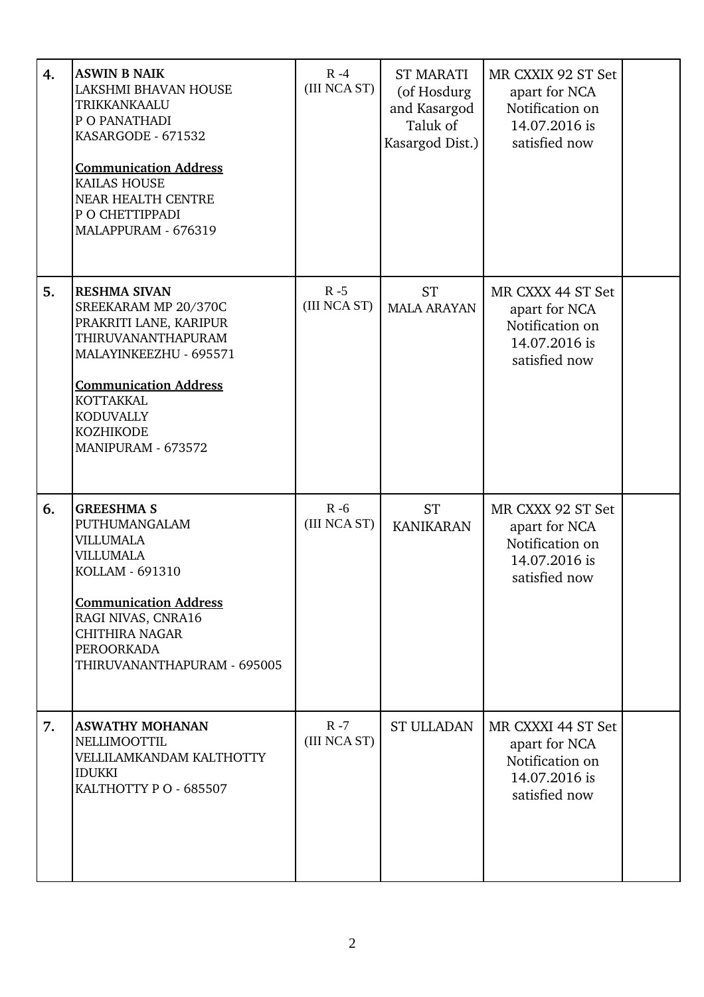| 4. | <b>ASWIN B NAIK</b><br>LAKSHMI BHAVAN HOUSE<br>TRIKKANKAALU<br>P O PANATHADI<br>KASARGODE - 671532<br><b>Communication Address</b><br><b>KAILAS HOUSE</b><br>NEAR HEALTH CENTRE<br>P O CHETTIPPADI<br>MALAPPURAM - 676319               | $R - 4$<br>(III NCA ST) | <b>ST MARATI</b><br>(of Hosdurg<br>and Kasargod<br>Taluk of<br>Kasargod Dist.) | MR CXXIX 92 ST Set<br>apart for NCA<br>Notification on<br>14.07.2016 is<br>satisfied now |  |
|----|-----------------------------------------------------------------------------------------------------------------------------------------------------------------------------------------------------------------------------------------|-------------------------|--------------------------------------------------------------------------------|------------------------------------------------------------------------------------------|--|
| 5. | <b>RESHMA SIVAN</b><br>SREEKARAM MP 20/370C<br>PRAKRITI LANE, KARIPUR<br>THIRUVANANTHAPURAM<br>MALAYINKEEZHU - 695571<br><b>Communication Address</b><br><b>KOTTAKKAL</b><br><b>KODUVALLY</b><br><b>KOZHIKODE</b><br>MANIPURAM - 673572 | $R - 5$<br>(III NCA ST) | <b>ST</b><br><b>MALA ARAYAN</b>                                                | MR CXXX 44 ST Set<br>apart for NCA<br>Notification on<br>14.07.2016 is<br>satisfied now  |  |
| 6. | <b>GREESHMA S</b><br>PUTHUMANGALAM<br><b>VILLUMALA</b><br><b>VILLUMALA</b><br>KOLLAM - 691310<br><b>Communication Address</b><br>RAGI NIVAS, CNRA16<br><b>CHITHIRA NAGAR</b><br>PEROORKADA<br>THIRUVANANTHAPURAM - 695005               | $R - 6$<br>(III NCA ST) | <b>ST</b><br><b>KANIKARAN</b>                                                  | MR CXXX 92 ST Set<br>apart for NCA<br>Notification on<br>14.07.2016 is<br>satisfied now  |  |
| 7. | <b>ASWATHY MOHANAN</b><br>NELLIMOOTTIL<br>VELLILAMKANDAM KALTHOTTY<br><b>IDUKKI</b><br>KALTHOTTY P O - 685507                                                                                                                           | $R - 7$<br>(III NCA ST) | <b>ST ULLADAN</b>                                                              | MR CXXXI 44 ST Set<br>apart for NCA<br>Notification on<br>14.07.2016 is<br>satisfied now |  |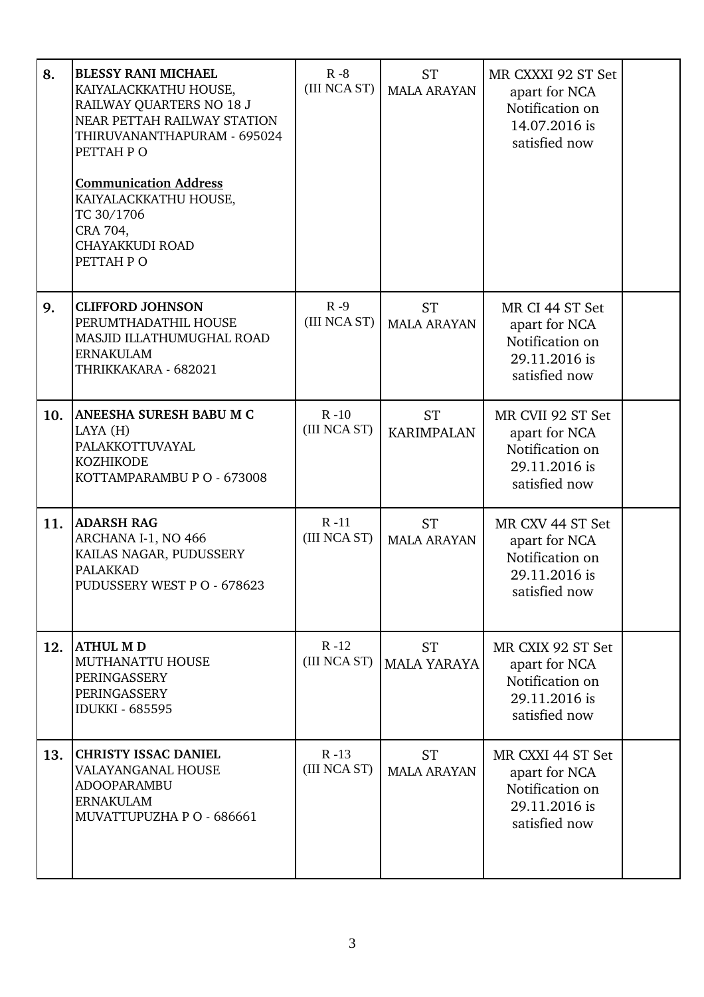| 8.  | <b>BLESSY RANI MICHAEL</b><br>KAIYALACKKATHU HOUSE,<br>RAILWAY QUARTERS NO 18 J<br>NEAR PETTAH RAILWAY STATION<br>THIRUVANANTHAPURAM - 695024<br>PETTAH PO<br><b>Communication Address</b><br>KAIYALACKKATHU HOUSE,<br>TC 30/1706<br>CRA 704,<br><b>CHAYAKKUDI ROAD</b><br>PETTAH PO | $R - 8$<br>(III NCA ST)  | <b>ST</b><br><b>MALA ARAYAN</b> | MR CXXXI 92 ST Set<br>apart for NCA<br>Notification on<br>14.07.2016 is<br>satisfied now |  |
|-----|--------------------------------------------------------------------------------------------------------------------------------------------------------------------------------------------------------------------------------------------------------------------------------------|--------------------------|---------------------------------|------------------------------------------------------------------------------------------|--|
| 9.  | <b>CLIFFORD JOHNSON</b><br>PERUMTHADATHIL HOUSE<br>MASJID ILLATHUMUGHAL ROAD<br><b>ERNAKULAM</b><br>THRIKKAKARA - 682021                                                                                                                                                             | $R - 9$<br>(III NCA ST)  | <b>ST</b><br><b>MALA ARAYAN</b> | MR CI 44 ST Set<br>apart for NCA<br>Notification on<br>29.11.2016 is<br>satisfied now    |  |
| 10. | ANEESHA SURESH BABU M C<br>LAYA (H)<br>PALAKKOTTUVAYAL<br><b>KOZHIKODE</b><br>KOTTAMPARAMBU P O - 673008                                                                                                                                                                             | $R - 10$<br>(III NCA ST) | <b>ST</b><br><b>KARIMPALAN</b>  | MR CVII 92 ST Set<br>apart for NCA<br>Notification on<br>29.11.2016 is<br>satisfied now  |  |
| 11. | <b>ADARSH RAG</b><br>ARCHANA I-1, NO 466<br>KAILAS NAGAR, PUDUSSERY<br><b>PALAKKAD</b><br>PUDUSSERY WEST P O - 678623                                                                                                                                                                | $R - 11$<br>(III NCA ST) | <b>ST</b><br><b>MALA ARAYAN</b> | MR CXV 44 ST Set<br>apart for NCA<br>Notification on<br>29.11.2016 is<br>satisfied now   |  |
| 12. | <b>ATHUL MD</b><br>MUTHANATTU HOUSE<br>PERINGASSERY<br>PERINGASSERY<br><b>IDUKKI - 685595</b>                                                                                                                                                                                        | $R - 12$<br>(III NCA ST) | <b>ST</b><br><b>MALA YARAYA</b> | MR CXIX 92 ST Set<br>apart for NCA<br>Notification on<br>29.11.2016 is<br>satisfied now  |  |
| 13. | <b>CHRISTY ISSAC DANIEL</b><br>VALAYANGANAL HOUSE<br>ADOOPARAMBU<br><b>ERNAKULAM</b><br>MUVATTUPUZHA P O - 686661                                                                                                                                                                    | $R - 13$<br>(III NCA ST) | <b>ST</b><br><b>MALA ARAYAN</b> | MR CXXI 44 ST Set<br>apart for NCA<br>Notification on<br>29.11.2016 is<br>satisfied now  |  |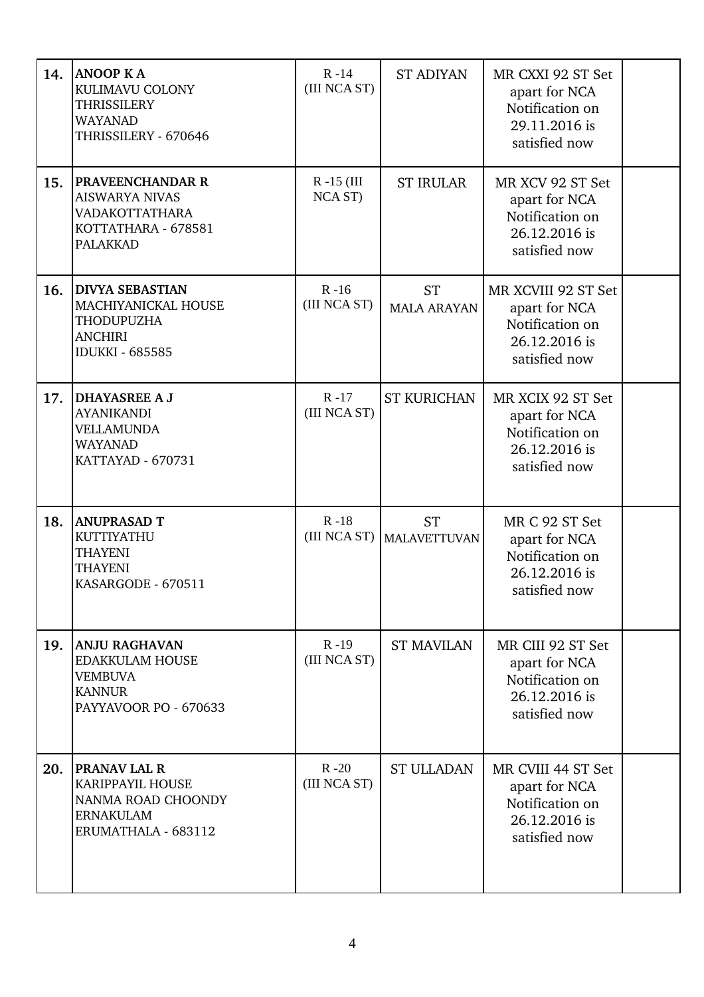| 14. | <b>ANOOP KA</b><br>KULIMAVU COLONY<br><b>THRISSILERY</b><br><b>WAYANAD</b><br>THRISSILERY - 670646         | $R - 14$<br>(III NCA ST) | <b>ST ADIYAN</b>                         | MR CXXI 92 ST Set<br>apart for NCA<br>Notification on<br>29.11.2016 is<br>satisfied now   |  |
|-----|------------------------------------------------------------------------------------------------------------|--------------------------|------------------------------------------|-------------------------------------------------------------------------------------------|--|
| 15. | PRAVEENCHANDAR R<br><b>AISWARYA NIVAS</b><br>VADAKOTTATHARA<br>KOTTATHARA - 678581<br><b>PALAKKAD</b>      | $R - 15$ (III<br>NCA ST) | <b>ST IRULAR</b>                         | MR XCV 92 ST Set<br>apart for NCA<br>Notification on<br>26.12.2016 is<br>satisfied now    |  |
| 16. | <b>DIVYA SEBASTIAN</b><br>MACHIYANICKAL HOUSE<br>THODUPUZHA<br><b>ANCHIRI</b><br><b>IDUKKI - 685585</b>    | $R - 16$<br>(III NCA ST) | <b>ST</b><br><b>MALA ARAYAN</b>          | MR XCVIII 92 ST Set<br>apart for NCA<br>Notification on<br>26.12.2016 is<br>satisfied now |  |
| 17. | <b>DHAYASREE A J</b><br><b>AYANIKANDI</b><br><b>VELLAMUNDA</b><br><b>WAYANAD</b><br>KATTAYAD - 670731      | $R - 17$<br>(III NCA ST) | <b>ST KURICHAN</b>                       | MR XCIX 92 ST Set<br>apart for NCA<br>Notification on<br>26.12.2016 is<br>satisfied now   |  |
| 18. | <b>ANUPRASAD T</b><br>KUTTIYATHU<br><b>THAYENI</b><br><b>THAYENI</b><br>KASARGODE - 670511                 | $R - 18$                 | <b>ST</b><br>(III NCA ST)   MALAVETTUVAN | MR C 92 ST Set<br>apart for NCA<br>Notification on<br>26.12.2016 is<br>satisfied now      |  |
| 19. | <b>ANJU RAGHAVAN</b><br><b>EDAKKULAM HOUSE</b><br><b>VEMBUVA</b><br><b>KANNUR</b><br>PAYYAVOOR PO - 670633 | $R - 19$<br>(III NCA ST) | <b>ST MAVILAN</b>                        | MR CIII 92 ST Set<br>apart for NCA<br>Notification on<br>26.12.2016 is<br>satisfied now   |  |
| 20. | <b>PRANAV LAL R</b><br>KARIPPAYIL HOUSE<br>NANMA ROAD CHOONDY<br><b>ERNAKULAM</b><br>ERUMATHALA - 683112   | $R - 20$<br>(III NCA ST) | <b>ST ULLADAN</b>                        | MR CVIII 44 ST Set<br>apart for NCA<br>Notification on<br>26.12.2016 is<br>satisfied now  |  |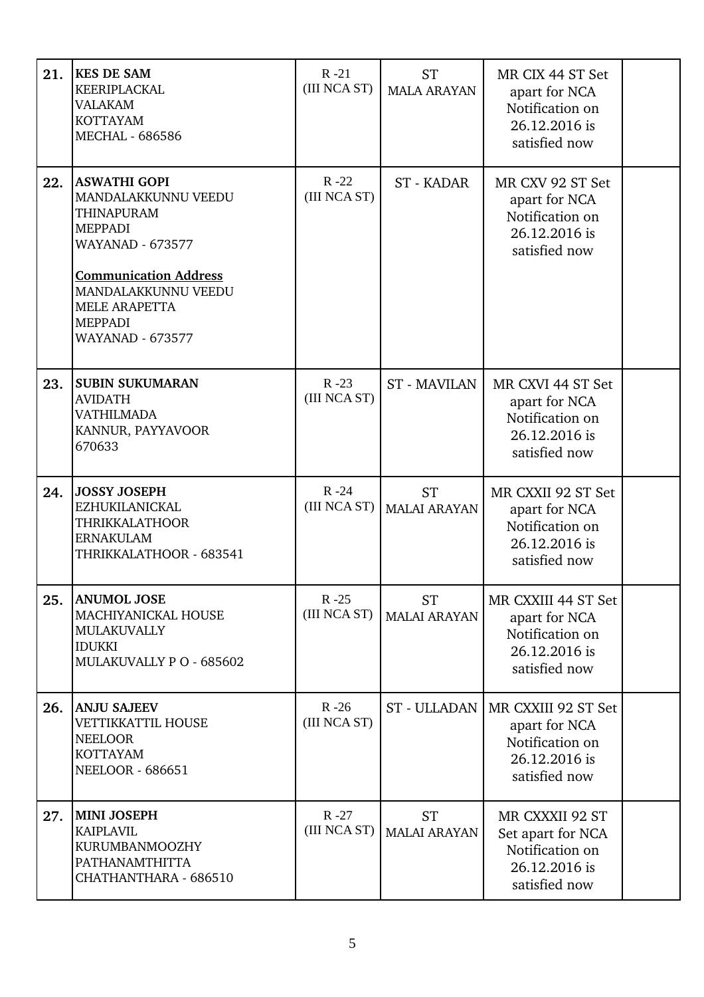| 21. | <b>KES DE SAM</b><br>KEERIPLACKAL<br><b>VALAKAM</b><br><b>KOTTAYAM</b><br><b>MECHAL - 686586</b>                                                                                                                                         | $R - 21$<br>(III NCA ST) | <b>ST</b><br><b>MALA ARAYAN</b>  | MR CIX 44 ST Set<br>apart for NCA<br>Notification on<br>26.12.2016 is<br>satisfied now    |  |
|-----|------------------------------------------------------------------------------------------------------------------------------------------------------------------------------------------------------------------------------------------|--------------------------|----------------------------------|-------------------------------------------------------------------------------------------|--|
| 22. | <b>ASWATHI GOPI</b><br>MANDALAKKUNNU VEEDU<br><b>THINAPURAM</b><br><b>MEPPADI</b><br><b>WAYANAD - 673577</b><br><b>Communication Address</b><br>MANDALAKKUNNU VEEDU<br><b>MELE ARAPETTA</b><br><b>MEPPADI</b><br><b>WAYANAD - 673577</b> | $R - 22$<br>(III NCA ST) | ST - KADAR                       | MR CXV 92 ST Set<br>apart for NCA<br>Notification on<br>26.12.2016 is<br>satisfied now    |  |
| 23. | <b>SUBIN SUKUMARAN</b><br><b>AVIDATH</b><br><b>VATHILMADA</b><br>KANNUR, PAYYAVOOR<br>670633                                                                                                                                             | $R - 23$<br>(III NCA ST) | <b>ST - MAVILAN</b>              | MR CXVI 44 ST Set<br>apart for NCA<br>Notification on<br>26.12.2016 is<br>satisfied now   |  |
| 24. | <b>JOSSY JOSEPH</b><br><b>EZHUKILANICKAL</b><br><b>THRIKKALATHOOR</b><br><b>ERNAKULAM</b><br>THRIKKALATHOOR - 683541                                                                                                                     | $R - 24$<br>(III NCA ST) | <b>ST</b><br><b>MALAI ARAYAN</b> | MR CXXII 92 ST Set<br>apart for NCA<br>Notification on<br>26.12.2016 is<br>satisfied now  |  |
| 25. | <b>ANUMOL JOSE</b><br>MACHIYANICKAL HOUSE<br><b>MULAKUVALLY</b><br><b>IDUKKI</b><br>MULAKUVALLY PO - 685602                                                                                                                              | $R - 25$<br>(III NCA ST) | <b>ST</b><br><b>MALAI ARAYAN</b> | MR CXXIII 44 ST Set<br>apart for NCA<br>Notification on<br>26.12.2016 is<br>satisfied now |  |
| 26. | <b>ANJU SAJEEV</b><br>VETTIKKATTIL HOUSE<br><b>NEELOOR</b><br><b>KOTTAYAM</b><br><b>NEELOOR - 686651</b>                                                                                                                                 | $R - 26$<br>(III NCA ST) | ST - ULLADAN                     | MR CXXIII 92 ST Set<br>apart for NCA<br>Notification on<br>26.12.2016 is<br>satisfied now |  |
| 27. | <b>MINI JOSEPH</b><br><b>KAIPLAVIL</b><br>KURUMBANMOOZHY<br>PATHANAMTHITTA<br>CHATHANTHARA - 686510                                                                                                                                      | $R - 27$<br>(III NCA ST) | <b>ST</b><br><b>MALAI ARAYAN</b> | MR CXXXII 92 ST<br>Set apart for NCA<br>Notification on<br>26.12.2016 is<br>satisfied now |  |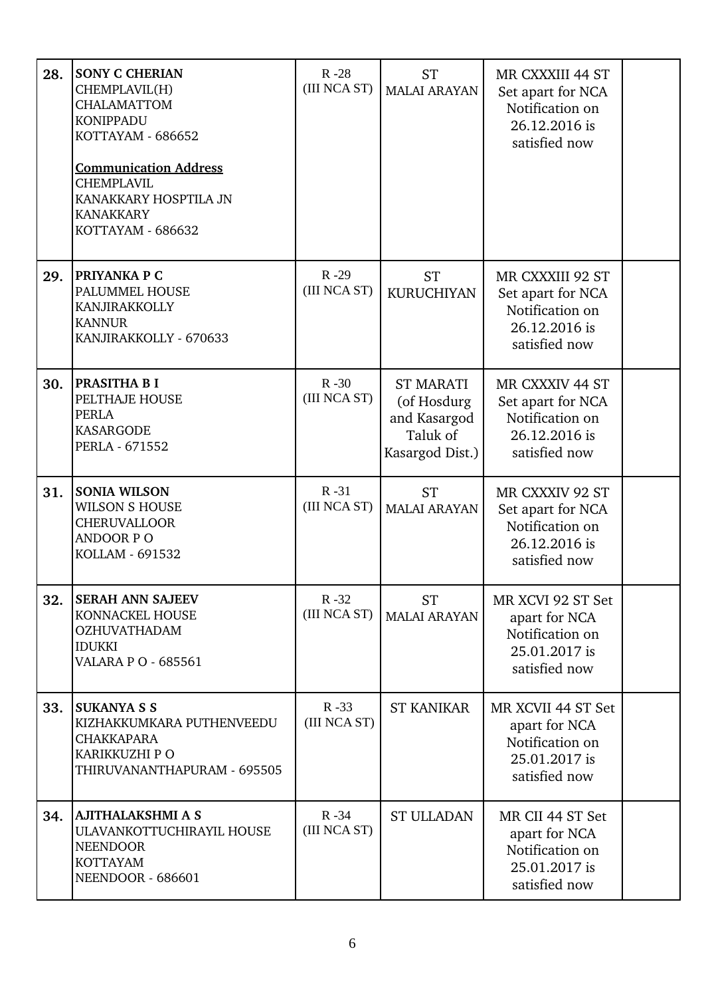| 28. | <b>SONY C CHERIAN</b><br>CHEMPLAVIL(H)<br><b>CHALAMATTOM</b><br><b>KONIPPADU</b><br>KOTTAYAM - 686652<br><b>Communication Address</b><br><b>CHEMPLAVIL</b><br>KANAKKARY HOSPTILA JN<br><b>KANAKKARY</b><br>KOTTAYAM - 686632 | $R - 28$<br>(III NCA ST) | <b>ST</b><br><b>MALAI ARAYAN</b>                                               | MR CXXXIII 44 ST<br>Set apart for NCA<br>Notification on<br>26.12.2016 is<br>satisfied now |  |
|-----|------------------------------------------------------------------------------------------------------------------------------------------------------------------------------------------------------------------------------|--------------------------|--------------------------------------------------------------------------------|--------------------------------------------------------------------------------------------|--|
| 29. | PRIYANKA P C<br>PALUMMEL HOUSE<br>KANJIRAKKOLLY<br><b>KANNUR</b><br>KANJIRAKKOLLY - 670633                                                                                                                                   | $R - 29$<br>(III NCA ST) | <b>ST</b><br><b>KURUCHIYAN</b>                                                 | MR CXXXIII 92 ST<br>Set apart for NCA<br>Notification on<br>26.12.2016 is<br>satisfied now |  |
| 30. | PRASITHA B I<br>PELTHAJE HOUSE<br><b>PERLA</b><br><b>KASARGODE</b><br>PERLA - 671552                                                                                                                                         | $R - 30$<br>(III NCA ST) | <b>ST MARATI</b><br>(of Hosdurg<br>and Kasargod<br>Taluk of<br>Kasargod Dist.) | MR CXXXIV 44 ST<br>Set apart for NCA<br>Notification on<br>26.12.2016 is<br>satisfied now  |  |
| 31. | <b>SONIA WILSON</b><br><b>WILSON S HOUSE</b><br><b>CHERUVALLOOR</b><br><b>ANDOOR PO</b><br>KOLLAM - 691532                                                                                                                   | $R - 31$<br>(III NCA ST) | <b>ST</b><br><b>MALAI ARAYAN</b>                                               | MR CXXXIV 92 ST<br>Set apart for NCA<br>Notification on<br>26.12.2016 is<br>satisfied now  |  |
| 32. | <b>SERAH ANN SAJEEV</b><br>KONNACKEL HOUSE<br><b>OZHUVATHADAM</b><br><b>IDUKKI</b><br><b>VALARA P O - 685561</b>                                                                                                             | $R - 32$<br>(III NCA ST) | <b>ST</b><br><b>MALAI ARAYAN</b>                                               | MR XCVI 92 ST Set<br>apart for NCA<br>Notification on<br>25.01.2017 is<br>satisfied now    |  |
| 33. | <b>SUKANYA S S</b><br>KIZHAKKUMKARA PUTHENVEEDU<br><b>CHAKKAPARA</b><br>KARIKKUZHI P O<br>THIRUVANANTHAPURAM - 695505                                                                                                        | $R - 33$<br>(III NCA ST) | <b>ST KANIKAR</b>                                                              | MR XCVII 44 ST Set<br>apart for NCA<br>Notification on<br>25.01.2017 is<br>satisfied now   |  |
| 34. | <b>AJITHALAKSHMI A S</b><br>ULAVANKOTTUCHIRAYIL HOUSE<br><b>NEENDOOR</b><br><b>KOTTAYAM</b><br>NEENDOOR - 686601                                                                                                             | $R - 34$<br>(III NCA ST) | <b>ST ULLADAN</b>                                                              | MR CII 44 ST Set<br>apart for NCA<br>Notification on<br>25.01.2017 is<br>satisfied now     |  |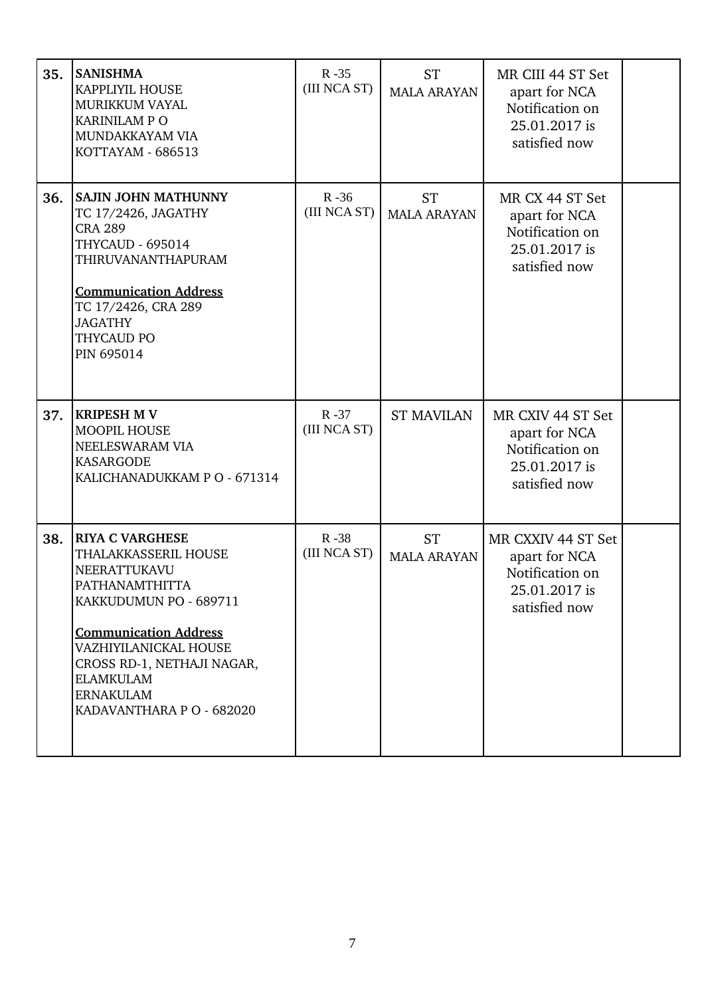| 35. | <b>SANISHMA</b><br>KAPPLIYIL HOUSE<br><b>MURIKKUM VAYAL</b><br><b>KARINILAM P O</b><br>MUNDAKKAYAM VIA<br>KOTTAYAM - 686513                                                                                                                                     | $R - 35$<br>(III NCA ST) | <b>ST</b><br><b>MALA ARAYAN</b> | MR CIII 44 ST Set<br>apart for NCA<br>Notification on<br>25.01.2017 is<br>satisfied now  |  |
|-----|-----------------------------------------------------------------------------------------------------------------------------------------------------------------------------------------------------------------------------------------------------------------|--------------------------|---------------------------------|------------------------------------------------------------------------------------------|--|
| 36. | SAJIN JOHN MATHUNNY<br>TC 17/2426, JAGATHY<br><b>CRA 289</b><br><b>THYCAUD - 695014</b><br>THIRUVANANTHAPURAM<br><b>Communication Address</b><br>TC 17/2426, CRA 289<br><b>JAGATHY</b><br>THYCAUD PO<br>PIN 695014                                              | $R - 36$<br>(III NCA ST) | <b>ST</b><br><b>MALA ARAYAN</b> | MR CX 44 ST Set<br>apart for NCA<br>Notification on<br>25.01.2017 is<br>satisfied now    |  |
| 37. | <b>KRIPESH M V</b><br>MOOPIL HOUSE<br>NEELESWARAM VIA<br><b>KASARGODE</b><br>KALICHANADUKKAM P O - 671314                                                                                                                                                       | $R - 37$<br>(III NCA ST) | <b>ST MAVILAN</b>               | MR CXIV 44 ST Set<br>apart for NCA<br>Notification on<br>25.01.2017 is<br>satisfied now  |  |
| 38. | <b>RIYA C VARGHESE</b><br>THALAKKASSERIL HOUSE<br>NEERATTUKAVU<br>PATHANAMTHITTA<br>KAKKUDUMUN PO - 689711<br><b>Communication Address</b><br>VAZHIYILANICKAL HOUSE<br>CROSS RD-1, NETHAJI NAGAR,<br>ELAMKULAM<br><b>ERNAKULAM</b><br>KADAVANTHARA P O - 682020 | $R - 38$<br>(III NCA ST) | <b>ST</b><br><b>MALA ARAYAN</b> | MR CXXIV 44 ST Set<br>apart for NCA<br>Notification on<br>25.01.2017 is<br>satisfied now |  |